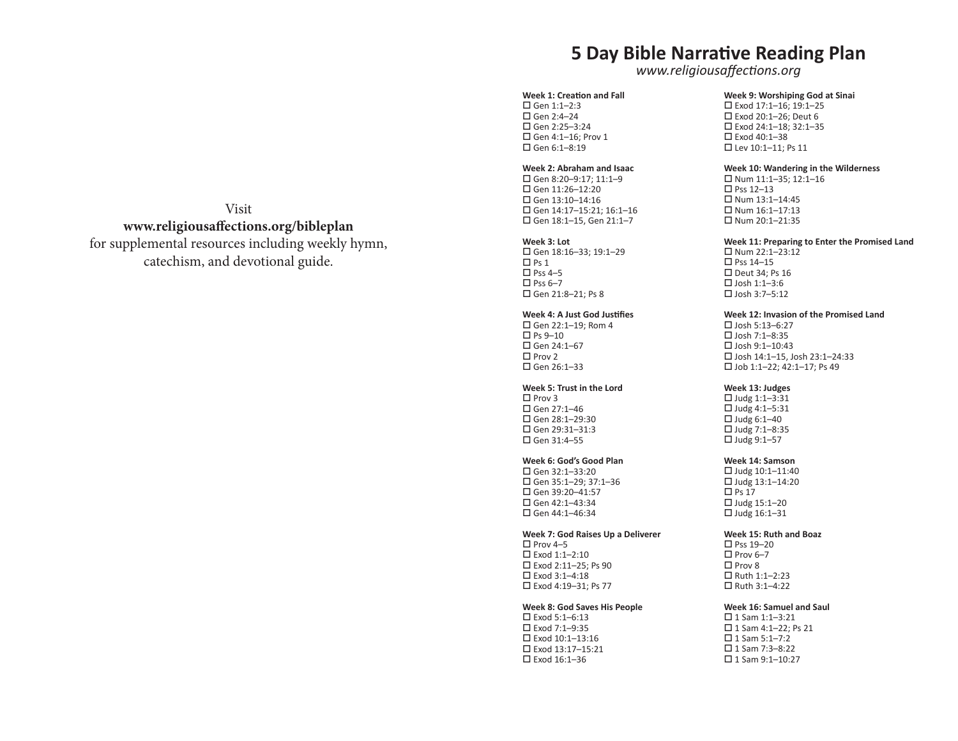# **5 Day Bible Narrative Reading Plan**

*www.religiousaffections.org*

#### **Week 1: Creation and Fall**

 $\Box$  Gen 1:1-2:3  $\Box$  Gen 2:4-24  $\Box$  Gen 2:25–3:24 Gen 4:1–16; Prov 1  $\Box$  Gen 6:1-8:19

# **Week 2: Abraham and Isaac**

 $\Box$  Gen 8:20-9:17: 11:1-9  $\Box$  Gen 11:26-12:20  $\Box$  Gen 13:10-14:16 Gen 14:17–15:21; 16:1–16 Gen 18:1–15, Gen 21:1–7

#### **Week 3: Lot**

 Gen 18:16–33; 19:1–29  $\Box$  Ps 1  $\Box$  Pss 4–5  $\Box$  Pss 6–7 Gen 21:8–21; Ps 8

### **Week 4: A Just God Justifies**

 $\Box$  Gen 22:1-19: Rom 4  $\square$  Ps 9–10  $\Box$  Gen 24:1-67  $\square$  Prov 2  $\Box$  Gen 26:1-33

# **Week 5: Trust in the Lord**

 $\Box$  Prov 3  $\Box$  Gen 27:1-46  $\square$  Gen 28:1-29:30  $\Box$  Gen 29:31-31:3  $\square$  Gen 31:4-55

# **Week 6: God's Good Plan**

 $\Box$  Gen 32:1-33:20 Gen 35:1–29; 37:1–36  $\Box$  Gen 39:20-41:57  $\Box$  Gen 42:1-43:34  $\Box$  Gen 44:1-46:34

#### **Week 7: God Raises Up a Deliverer**

 $\square$  Prov 4–5 Exod 1:1–2:10 Exod 2:11–25; Ps 90 Exod 3:1–4:18 Exod 4:19–31; Ps 77

### **Week 8: God Saves His People**

 Exod 5:1–6:13  $\square$  Exod 7:1-9:35 Exod 10:1–13:16 Exod 13:17–15:21 Exod 16:1–36

**Week 9: Worshiping God at Sinai** Exod 17:1–16; 19:1–25 Exod 20:1–26; Deut 6 Exod 24:1–18; 32:1–35 Exod 40:1–38 Lev 10:1–11; Ps 11

### **Week 10: Wandering in the Wilderness**

 $\Box$  Num 11:1-35: 12:1-16 □ Pss 12–13  $\Box$  Num 13:1-14:45  $\Box$  Num 16:1-17:13  $\Box$  Num 20:1-21:35

#### **Week 11: Preparing to Enter the Promised Land**

 $\Box$  Num 22:1-23:12  $\square$  Pss 14-15  $\Box$  Deut 34; Ps 16  $\square$  Josh 1:1-3:6  $\Box$  Josh 3:7–5:12

#### **Week 12: Invasion of the Promised Land**

 $\n *D*$  Josh 5:13-6:27  $\square$  Josh 7:1-8:35  $\Pi$  losh 9:1–10:43 Josh 14:1–15, Josh 23:1–24:33 Job 1:1–22; 42:1–17; Ps 49

# **Week 13: Judges**

 $\Box$  Judg 1:1-3:31  $\Box$  Judg 4:1-5:31  $\Box$  Judg 6:1-40  $\Box$  Judg 7:1-8:35  $\Box$  Judg 9:1-57

#### **Week 14: Samson**

 $\Box$  Judg 10:1-11:40  $\Box$  Judg 13:1-14:20  $\Box$  Ps 17  $\Box$  Judg 15:1-20  $\Box$  Judg 16:1-31

### **Week 15: Ruth and Boaz**

□ Pss 19-20  $\Box$  Prov 6–7  $\Box$  Prov 8 Ruth 1:1–2:23  $\Box$  Ruth 3:1-4:22

### **Week 16: Samuel and Saul**

 $\Box$  1 Sam 1:1-3:21 □ 1 Sam 4:1-22; Ps 21  $\Box$  1 Sam 5:1-7:2  $\Box$  1 Sam 7:3-8:22  $\Box$  1 Sam 9:1-10:27

# Visit **www.religiousaffections.org/bibleplan**

for supplemental resources including weekly hymn, catechism, and devotional guide.